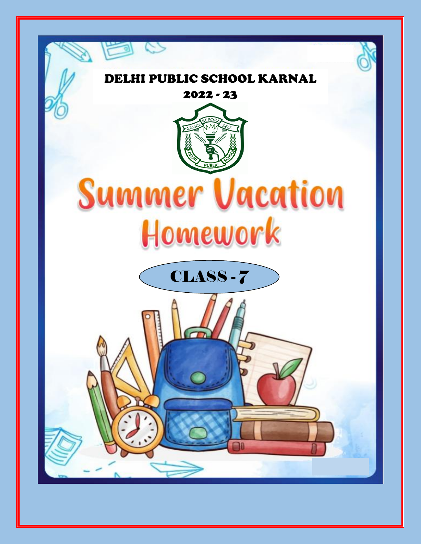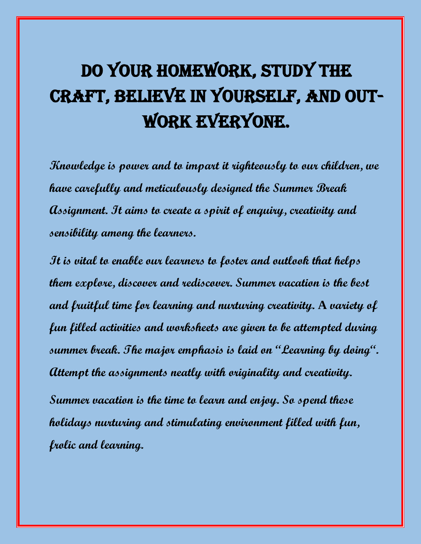# Do your homework, study the craft, believe in yourself, and out-WORK EVERYONE.

**Knowledge is power and to impart it righteously to our children, we have carefully and meticulously designed the Summer Break Assignment. It aims to create a spirit of enquiry, creativity and sensibility among the learners.** 

**It is vital to enable our learners to foster and outlook that helps them explore, discover and rediscover. Summer vacation is the best and fruitful time for learning and nurturing creativity. A variety of fun filled activities and worksheets are given to be attempted during summer break. The major emphasis is laid on "Learning by doing". Attempt the assignments neatly with originality and creativity.**

**Summer vacation is the time to learn and enjoy. So spend these holidays nurturing and stimulating environment filled with fun, frolic and learning.**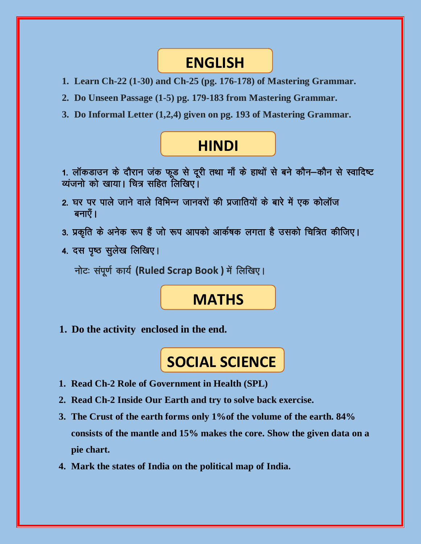### **ENGLISH**

- **1. Learn Ch-22 (1-30) and Ch-25 (pg. 176-178) of Mastering Grammar.**
- **2. Do Unseen Passage (1-5) pg. 179-183 from Mastering Grammar.**
- **3. Do Informal Letter (1,2,4) given on pg. 193 of Mastering Grammar.**

## **HINDI**

1. लॉकडाउन के दौरान जंक फूड से दूरी तथा माँ के हाथों से बने कौन–कौन से स्वादिष्ट व्यंजनो को खाया। चित्र सहित लिखिए

- 2. घर पर पाले जाने वाले विभिन्न जानवरों की प्रजातियों के बारे में एक कोलॉज बनाएँ ।
- 3. प्रकृति के अनेक रूप हैं जो रूप आपको आर्कषक लगता है उसको चित्रित कीजिए।
- 4. दस पृष्ठ सूलेख लिखिए।

नोटः संपूर्ण कार्य (Ruled Scrap Book) में लिखिए।

### **MATHS**

**1. Do the activity enclosed in the end.**

# **SOCIAL SCIENCE**

- **1. Read Ch-2 Role of Government in Health (SPL)**
- **2. Read Ch-2 Inside Our Earth and try to solve back exercise.**
- **3. The Crust of the earth forms only 1%of the volume of the earth. 84% consists of the mantle and 15% makes the core. Show the given data on a pie chart.**
- **4. Mark the states of India on the political map of India.**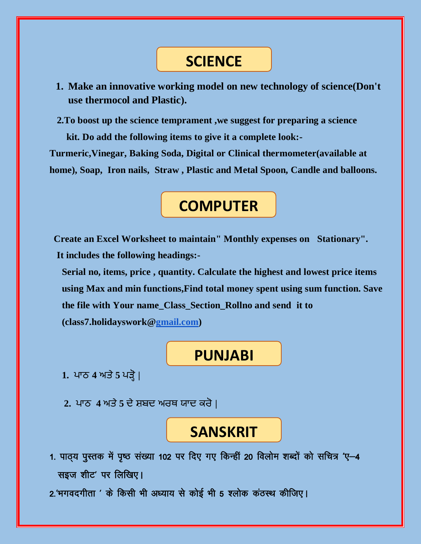## **SCIENCE**

**1. Make an innovative working model on new technology of science(Don't use thermocol and Plastic).**

 **2.To boost up the science temprament ,we suggest for preparing a science**

 **kit. Do add the following items to give it a complete look:- Turmeric,Vinegar, Baking Soda, Digital or Clinical thermometer(available at home), Soap, Iron nails, Straw , Plastic and Metal Spoon, Candle and balloons.**

# **COMPUTER**

 **Create an Excel Worksheet to maintain" Monthly expenses on Stationary". It includes the following headings:-**

**Serial no, items, price , quantity. Calculate the highest and lowest price items using Max and min functions,Find total money spent using sum function. Save the file with Your name\_Class\_Section\_Rollno and send it to (class7.holidayswork[@gmail.com\)](mailto:VI.ai.ppt@gmail.com)**

### **PUNJABI**

- **1.** ਪਾਠ **4** ਅਤੇ**5** ਪੜ੍ਹੋ **|**
- **2.** ਪਾਠ **4** ਅਤੇ**5** ਦੇ ਸ਼ਬਦ ਅਰਥ ਯਾਦ ਕਰੋ **|**

### **SANSKRIT**

- 1. पाठ्य पुस्तक में पृष्ठ संख्या 102 पर दिए गए किन्हीं 20 विलोम शब्दों को सचित्र 'ए-4 सइज शीट' पर लिखिए।
- 2.'भगवदगीता ' के किसी भी अध्याय से कोई भी 5 श्लोक कंठस्थ कीजिए।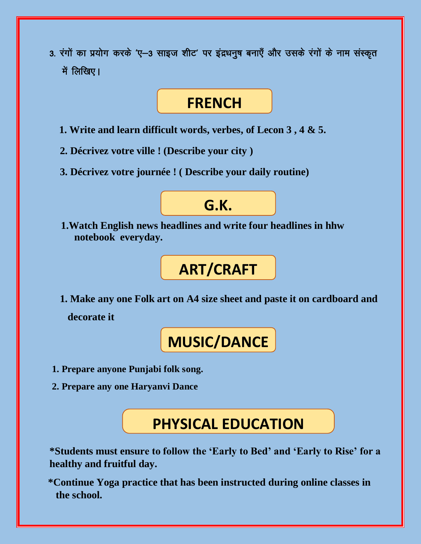3. रंगों का प्रयोग करके 'ए-3 साइज शीट' पर इंद्रधनुष बनाएँ और उसके रंगों के नाम संस्कृत में लिखिए।

### **FRENCH**

- **1. Write and learn difficult words, verbes, of Lecon 3 , 4 & 5.**
- **2. Décrivez votre ville ! (Describe your city )**
- **3. Décrivez votre journée ! ( Describe your daily routine)**

### **G.K.**

 **1.Watch English news headlines and write four headlines in hhw notebook everyday.**

# **ART/CRAFT**

 **1. Make any one Folk art on A4 size sheet and paste it on cardboard and decorate it**

# **MUSIC/DANCE**

- **1. Prepare anyone Punjabi folk song.**
- **2. Prepare any one Haryanvi Dance**

**PHYSICAL EDUCATION**

**\*Students must ensure to follow the 'Early to Bed' and 'Early to Rise' for a healthy and fruitful day.**

 **\*Continue Yoga practice that has been instructed during online classes in the school.**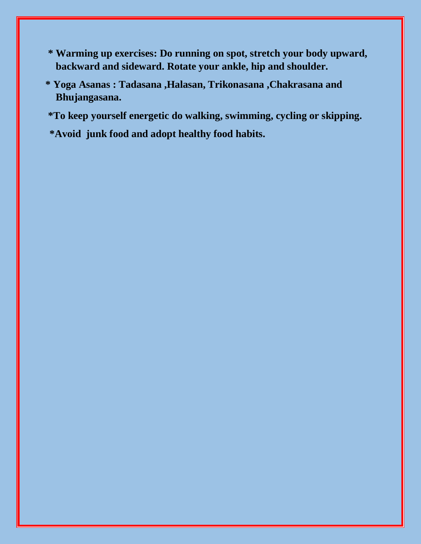- **\* Warming up exercises: Do running on spot, stretch your body upward, backward and sideward. Rotate your ankle, hip and shoulder.**
- **\* Yoga Asanas : Tadasana ,Halasan, Trikonasana ,Chakrasana and Bhujangasana.**
- **\*To keep yourself energetic do walking, swimming, cycling or skipping.**
- **\*Avoid junk food and adopt healthy food habits.**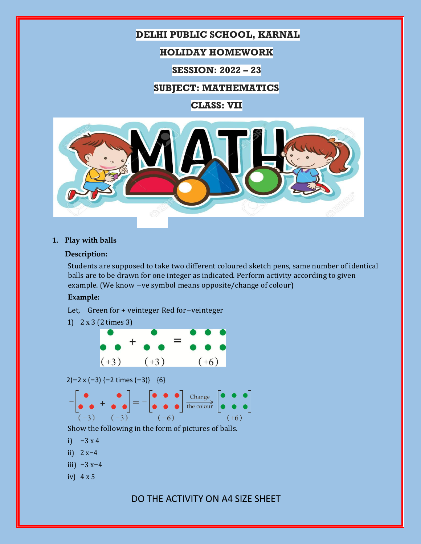### **DELHI PUBLIC SCHOOL, KARNAL**

#### **HOLIDAY HOMEWORK**

**SESSION: 2022 – 23**

#### **SUBJECT: MATHEMATICS**

**CLASS: VII**



#### **1. Play with balls**

#### **Description:**

Students are supposed to take two different coloured sketch pens, same number of identical balls are to be drawn for one integer as indicated. Perform activity according to given example. (We know –ve symbol means opposite/change of colour)

#### **Example:**

Let, Green for + veinteger Red for–veinteger



2)–2 x (–3) {–2 times (–3)} {6}



Show the following in the form of pictures of balls.

- i)  $-3x4$
- ii)  $2x-4$
- iii)  $-3 x-4$
- iv) 4 x 5

DO THE ACTIVITY ON A4 SIZE SHEET